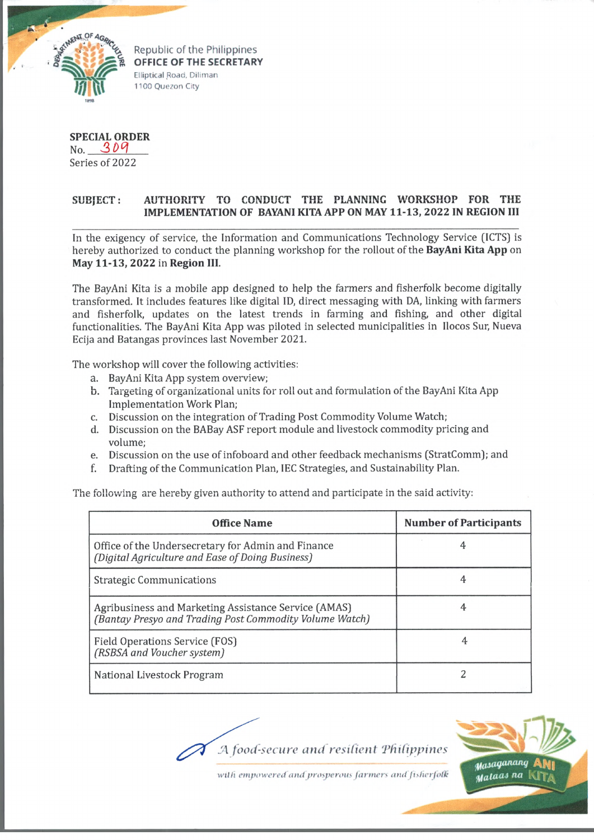

Republic of the Philippines OFFICE OF THE SECRETARY Elliptical Road. Diliman 1100 Quezon City

**SPECIAL ORDER** No. 309 Series of 2022

## $SUB|ECT:$ AUTHORITY TO CONDUCT THE PLANNING WORKSHOP FOR THE **IMPLEMENTATION OF BAYANI KITA APP ON MAY 11-13, 2022 IN REGION III**

In the exigency of service, the Information and Communications Technology Service (ICTS) is hereby authorized to conduct the planning workshop for the rollout of the **BayAni Kita App** on **May 11-13, 2022** in **Region III.**

The BayAni Kita is a mobile app designed to help the farmers and fisherfolk become digitally transformed. It includes features like digital ID, direct messaging with DA, linking with farmers and fisherfolk, updates on the latest trends in farming and fishing, and other digital functionalities. The BayAni Kita App was piloted in selected municipalities in Ilocos Sur, Nueva Ecija and Batangas provinces last November 2021.

The workshop will cover the following activities:

- a. BayAni Kita App system overview;
- b. Targeting of organizational units for roll out and formulation of the BayAni Kita App Implementation Work Plan;
- c. Discussion on the integration of Trading Post Commodity Volume Watch;
- d. Discussion on the BABay ASF report module and livestock commodity pricing and volume;
- e. Discussion on the use of infoboard and other feedback mechanisms (StratComm); and
- f. Drafting of the Communication Plan, IEC Strategies, and Sustainability Plan.

The following are hereby given authority to attend and participate in the said activity:

| <b>Office Name</b>                                                                                              | <b>Number of Participants</b> |
|-----------------------------------------------------------------------------------------------------------------|-------------------------------|
| Office of the Undersecretary for Admin and Finance<br>(Digital Agriculture and Ease of Doing Business)          |                               |
| <b>Strategic Communications</b>                                                                                 | 4                             |
| Agribusiness and Marketing Assistance Service (AMAS)<br>(Bantay Presyo and Trading Post Commodity Volume Watch) |                               |
| <b>Field Operations Service (FOS)</b><br>(RSBSA and Voucher system)                                             |                               |
| National Livestock Program                                                                                      |                               |

A food-secure and resilient Philippines



with empowered and prosperous farmers and fisherfolk